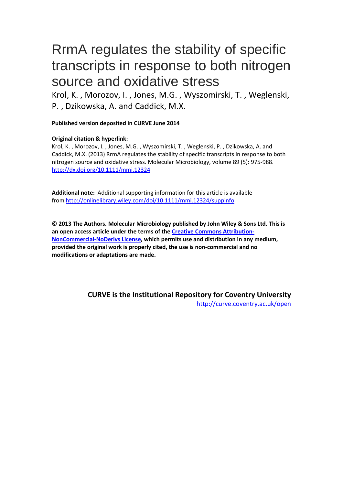# RrmA regulates the stability of specific transcripts in response to both nitrogen source and oxidative stress

Krol, K. , Morozov, I. , Jones, M.G. , Wyszomirski, T. , Weglenski, P. , Dzikowska, A. and Caddick, M.X.

**Published version deposited in CURVE June 2014**

# **Original citation & hyperlink:**

Krol, K. , Morozov, I. , Jones, M.G. , Wyszomirski, T. , Weglenski, P. , Dzikowska, A. and Caddick, M.X. (2013) RrmA regulates the stability of specific transcripts in response to both nitrogen source and oxidative stress. Molecular Microbiology, volume 89 (5): 975-988. <http://dx.doi.org/10.1111/mmi.12324>

**Additional note:** Additional supporting information for this article is available from<http://onlinelibrary.wiley.com/doi/10.1111/mmi.12324/suppinfo>

**© 2013 The Authors. Molecular Microbiology published by John Wiley & Sons Ltd. This is an open access article under the terms of the [Creative Commons Attribution-](http://creativecommons.org/licenses/by-nc-nd/3.0/)[NonCommercial-NoDerivs License,](http://creativecommons.org/licenses/by-nc-nd/3.0/) which permits use and distribution in any medium, provided the original work is properly cited, the use is non-commercial and no modifications or adaptations are made.**

> **CURVE is the Institutional Repository for Coventry University** <http://curve.coventry.ac.uk/open>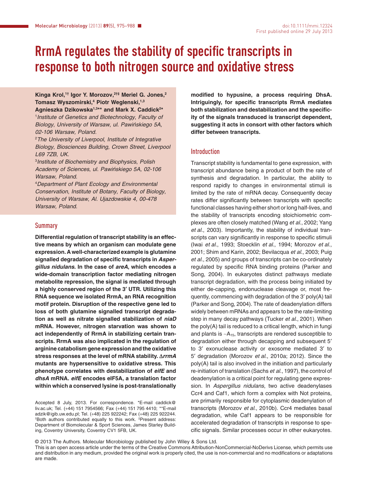# **RrmA regulates the stability of specific transcripts in response to both nitrogen source and oxidative stress**

**Kinga Krol,1† Igor Y. Morozov,2†‡ Meriel G. Jones,2 Tomasz Wyszomirski,4 Piotr Weglenski,1,3**

**Agnieszka Dzikowska1,3\*\* and Mark X. Caddick2 \*** 1 *Institute of Genetics and Biotechnology*, *Faculty of Biology*, *University of Warsaw*, *ul. Pawin´skiego 5A, 02-106 Warsaw, Poland.*

2 *The University of Liverpool*, *Institute of Integrative Biology*, *Biosciences Building, Crown Street, Liverpool L69 7ZB, UK.*

3 *Institute of Biochemistry and Biophysics*, *Polish Academy of Sciences*, *ul. Pawin´skiego 5A, 02-106 Warsaw, Poland.*

4 *Department of Plant Ecology and Environmental Conservation*, *Institute of Botany*, *Faculty of Biology*, *University of Warsaw*, *Al. Ujazdowskie 4, 00-478 Warsaw, Poland.*

# **Summary**

**Differential regulation of transcript stability is an effective means by which an organism can modulate gene expression. A well-characterized example is glutamine signalled degradation of specific transcripts in** *Aspergillus nidulans***. In the case of** *areA***, which encodes a wide-domain transcription factor mediating nitrogen metabolite repression, the signal is mediated through a highly conserved region of the 3′ UTR. Utilizing this RNA sequence we isolated RrmA, an RNA recognition motif protein. Disruption of the respective gene led to loss of both glutamine signalled transcript degradation as well as nitrate signalled stabilization of** *niaD* **mRNA. However, nitrogen starvation was shown to act independently of RrmA in stabilizing certain transcripts. RrmA was also implicated in the regulation of arginine catabolism gene expression and the oxidative stress responses at the level of mRNA stability. Δ***rrmA* **mutants are hypersensitive to oxidative stress. This phenotype correlates with destabilization of** *eifE* **and** *dhsA* **mRNA.** *eifE* **encodes eIF5A, a translation factor within which a conserved lysine is post-translationally**

Accepted 8 July, 2013. For correspondence. \*E-mail [caddick@](mailto:caddick@liv.ac.uk) [liv.ac.uk;](mailto:caddick@liv.ac.uk) Tel. (+44) 151 7954566; Fax (+44) 151 795 4410; \*\*E-mail [adzik@igib.uw.edu.pl;](mailto:adzik@igib.uw.edu.pl) Tel. (+48) 225 922242; Fax (+48) 225 922244. † Both authors contributed equally to this work. ‡ Present address: Department of Biomolecular & Sport Sciences, James Starley Building, Coventry University, Coventry CV1 5FB, UK.

**modified to hypusine, a process requiring DhsA. Intriguingly, for specific transcripts RrmA mediates both stabilization and destabilization and the specificity of the signals transduced is transcript dependent, suggesting it acts in consort with other factors which differ between transcripts.**

#### Introduction

Transcript stability is fundamental to gene expression, with transcript abundance being a product of both the rate of synthesis and degradation. In particular, the ability to respond rapidly to changes in environmental stimuli is limited by the rate of mRNA decay. Consequently decay rates differ significantly between transcripts with specific functional classes having either short or long half-lives, and the stability of transcripts encoding stoichiometric complexes are often closely matched (Wang *et al*., 2002; Yang *et al*., 2003). Importantly, the stability of individual transcripts can vary significantly in response to specific stimuli (Iwai *et al*., 1993; Stoecklin *et al*., 1994; Morozov *et al*., 2001; Shim and Karin, 2002; Bevilacqua *et al*., 2003; Puig *et al*., 2005) and groups of transcripts can be co-ordinately regulated by specific RNA binding proteins (Parker and Song, 2004). In eukaryotes distinct pathways mediate transcript degradation, with the process being initiated by either de-capping, endonuclease cleavage or, most frequently, commencing with degradation of the 3′ poly(A) tail (Parker and Song, 2004). The rate of deadenylation differs widely between mRNAs and appears to be the rate-limiting step in many decay pathways (Tucker *et al*., 2001). When the poly(A) tail is reduced to a critical length, which in fungi and plants is ∼A15, transcripts are rendered susceptible to degradation either through decapping and subsequent 5′ to 3′ exonuclease activity or exosome mediated 3′ to 5′ degradation (Morozov *et al*., 2010a; 2012). Since the poly(A) tail is also involved in the initiation and particularly re-initiation of translation (Sachs *et al*., 1997), the control of deadenylation is a critical point for regulating gene expression. In *Aspergillus nidulans*, two active deadenylases Ccr4 and Caf1, which form a complex with Not proteins, are primarily responsible for cytoplasmic deadenylation of transcripts (Morozov *et al*., 2010b). Ccr4 mediates basal degradation, while Caf1 appears to be responsible for accelerated degradation of transcripts in response to specific signals. Similar processes occur in other eukaryotes.

© 2013 The Authors. Molecular Microbiology published by John Wiley & Sons Ltd. This is an open access article under the terms of the [Creative Commons Attribution-NonCommercial-NoDerivs](http://creativecommons.org/licenses/by-nc-nd/3.0) License, which permits use

and distribution in any medium, provided the original work is properly cited, the use is non-commercial and no modifications or adaptations are made.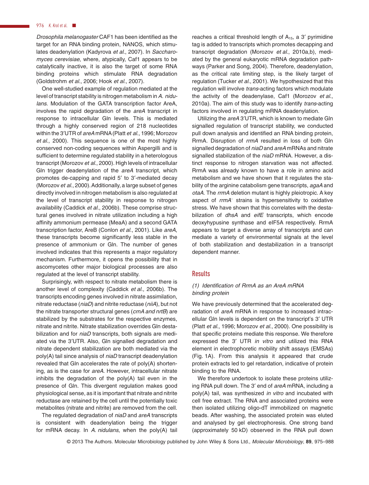#### 976 K. Krol et al. ■

*Drosophila melanogaster* CAF1 has been identified as the target for an RNA binding protein, NANOS, which stimulates deadenylation (Kadyrova *et al*., 2007). In *Saccharomyces cerevisiae*, where, atypically, Caf1 appears to be catalytically inactive, it is also the target of some RNA binding proteins which stimulate RNA degradation (Goldstrohm *et al*., 2006; Hook *et al*., 2007).

One well-studied example of regulation mediated at the level of transcript stability is nitrogen metabolism in*A. nidulans*. Modulation of the GATA transcription factor AreA, involves the rapid degradation of the *areA* transcript in response to intracellular Gln levels. This is mediated through a highly conserved region of 218 nucleotides within the 3′UTR of *areA* mRNA (Platt *et al*., 1996; Morozov *et al*., 2000). This sequence is one of the most highly conserved non-coding sequences within Aspergilli and is sufficient to determine regulated stability in a heterologous transcript (Morozov *et al*., 2000). High levels of intracellular Gln trigger deadenylation of the *areA* transcript, which promotes de-capping and rapid 5′ to 3′-mediated decay (Morozov *et al*., 2000).Additionally, a large subset of genes directly involved in nitrogen metabolism is also regulated at the level of transcript stability in response to nitrogen availability (Caddick *et al*., 2006b). These comprise structural genes involved in nitrate utilization including a high affinity ammonium permease (MeaA) and a second GATA transcription factor, AreB (Conlon *et al*., 2001). Like *areA*, these transcripts become significantly less stable in the presence of ammonium or Gln. The number of genes involved indicates that this represents a major regulatory mechanism. Furthermore, it opens the possibility that in ascomycetes other major biological processes are also regulated at the level of transcript stability.

Surprisingly, with respect to nitrate metabolism there is another level of complexity (Caddick *et al*., 2006b). The transcripts encoding genes involved in nitrate assimilation, nitrate reductase (*niaD*) and nitrite reductase (*niiA*), but not the nitrate transporter structural genes (*crnA and nrtB*) are stabilized by the substrates for the respective enzymes, nitrate and nitrite. Nitrate stabilization overrides Gln destabilization and for *niaD* transcripts, both signals are mediated via the 3′UTR. Also, Gln signalled degradation and nitrate dependent stabilization are both mediated via the poly(A) tail since analysis of *niaD* transcript deadenylation revealed that Gln accelerates the rate of poly(A) shortening, as is the case for *areA*. However, intracellular nitrate inhibits the degradation of the poly(A) tail even in the presence of Gln. This divergent regulation makes good physiological sense, as it is important that nitrate and nitrite reductase are retained by the cell until the potentially toxic metabolites (nitrate and nitrite) are removed from the cell.

The regulated degradation of *niaD* and *areA* transcripts is consistent with deadenylation being the trigger for mRNA decay. In *A. nidulans*, when the poly(A) tail reaches a critical threshold length of  $A_{15}$ , a 3' pyrimidine tag is added to transcripts which promotes decapping and transcript degradation (Morozov *et al*., 2010a,b), mediated by the general eukaryotic mRNA degradation pathways (Parker and Song, 2004). Therefore, deadenylation, as the critical rate limiting step, is the likely target of regulation (Tucker *et al*., 2001). We hypothesized that this regulation will involve *trans*-acting factors which modulate the activity of the deadenylase, Caf1 (Morozov *et al*., 2010a). The aim of this study was to identify *trans*-acting factors involved in regulating mRNA deadenylation.

Utilizing the *areA* 3′UTR, which is known to mediate Gln signalled regulation of transcript stability, we conducted pull down analysis and identified an RNA binding protein, RrmA. Disruption of *rrmA* resulted in loss of both Gln signalled degradation of *niaD* and *areA* mRNAs and nitrate signalled stabilization of the *niaD* mRNA. However, a distinct response to nitrogen starvation was not affected. RrmA was already known to have a role in amino acid metabolism and we have shown that it regulates the stability of the arginine catabolism gene transcripts, *agaA* and *otaA*. The *rrmA* deletion mutant is highly pleiotropic. A key aspect of *rrmA*<sup>−</sup> strains is hypersensitivity to oxidative stress. We have shown that this correlates with the destabilization of *dhsA* and *eifE* transcripts, which encode deoxyhypusine synthase and eIF5A respectively. RrmA appears to target a diverse array of transcripts and can mediate a variety of environmental signals at the level of both stabilization and destabilization in a transcript dependent manner.

# **Results**

### *(1) Identification of RrmA as an AreA mRNA binding protein*

We have previously determined that the accelerated degradation of *areA* mRNA in response to increased intracellular Gln levels is dependent on the transcript's 3′ UTR (Platt *et al*., 1996; Morozov *et al*., 2000). One possibility is that specific proteins mediate this response. We therefore expressed the 3′ UTR *in vitro* and utilized this RNA element in electrophoretic mobility shift assays (EMSAs) (Fig. 1A). From this analysis it appeared that crude protein extracts led to gel retardation, indicative of protein binding to the RNA.

We therefore undertook to isolate these proteins utilizing RNA pull down. The 3′ end of *areA* mRNA, including a poly(A) tail, was synthesized *in vitro* and incubated with cell free extract. The RNA and associated proteins were then isolated utilizing oligo-dT immobilized on magnetic beads. After washing, the associated protein was eluted and analysed by gel electrophoresis. One strong band (approximately 50 kD) observed in the RNA pull down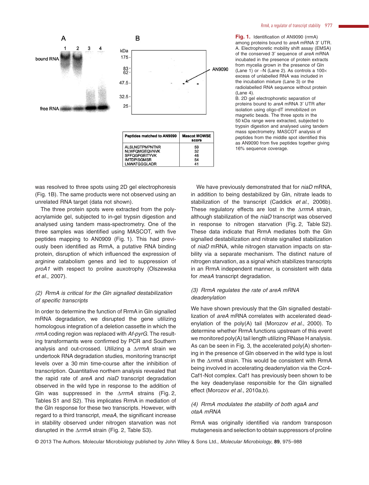**Fig. 1.** Identification of AN9090 (rrmA) among proteins bound to *areA* mRNA 3′ UTR. A. Electrophoretic mobility shift assay (EMSA) of the conserved 3′ sequence of *areA* mRNA incubated in the presence of protein extracts from mycelia grown in the presence of Gln (Lane 1) or −N (Lane 2). As controls a 100× excess of unlabelled RNA was included in the incubation mixture (Lane 3) or the radiolabelled RNA sequence without protein  $($ l ane 4 $)$ .

B. 2D gel electrophoretic separation of proteins bound to *areA* mRNA 3′ UTR after isolation using oligo-dT immobilized on magnetic beads. The three spots in the 50 kDa range were extracted, subjected to trypsin digestion and analysed using tandem mass spectrometry. MASCOT analysis of peptides from the middle spot identified this as AN9090 from five peptides together giving 16% sequence coverage.

We have previously demonstrated that for *niaD* mRNA, in addition to being destabilized by Gln, nitrate leads to stabilization of the transcript (Caddick *et al*., 2006b). These regulatory effects are lost in the Δ*rrmA* strain, although stabilization of the *niaD* transcript was observed in response to nitrogen starvation (Fig. 2, Table S2). These data indicate that RrmA mediates both the Gln signalled destabilization and nitrate signalled stabilization of *niaD* mRNA, while nitrogen starvation impacts on stability via a separate mechanism. The distinct nature of nitrogen starvation, as a signal which stabilizes transcripts in an RrmA independent manner, is consistent with data for *meaA* transcript degradation.

#### *(3) RrmA regulates the rate of areA mRNA deadenylation*

We have shown previously that the Gln signalled destabilization of *areA* mRNA correlates with accelerated deadenylation of the poly(A) tail (Morozov *et al*., 2000). To determine whether RrmA functions upstream of this event we monitored poly(A) tail length utilizing RNase H analysis. As can be seen in Fig. 3, the accelerated poly(A) shortening in the presence of Gln observed in the wild type is lost in the Δ*rrmA* strain. This would be consistent with RrmA being involved in accelerating deadenylation via the Ccr4- Caf1-Not complex. Caf1 has previously been shown to be the key deadenylase responsible for the Gln signalled effect (Morozov *et al*., 2010a,b).

# *(4) RrmA modulates the stability of both agaA and otaA mRNA*

RrmA was originally identified via random transposon mutagenesis and selection to obtain suppressors of proline

© 2013 The Authors. Molecular Microbiology published by John Wiley & Sons Ltd., *Molecular Microbiology*, **89**, 975–988



| <b>Peptides matched to AN9090</b> | <b>Mascot MOWSE</b><br>score |
|-----------------------------------|------------------------------|
| <b>ALSLNGTPMPNTNR</b>             | 59                           |
| <b>NLWFQMGEQVNVK</b>              | 32                           |
| <b>SFFQGFGEITYVK</b>              | 46                           |
| <b>IMTDPISGMSR</b>                | 54                           |
| <b>LNWATGGGLADR</b>               | 41                           |

was resolved to three spots using 2D gel electrophoresis (Fig. 1B). The same products were not observed using an unrelated RNA target (data not shown).

The three protein spots were extracted from the polyacrylamide gel, subjected to in-gel trypsin digestion and analysed using tandem mass-spectrometry. One of the three samples was identified using MASCOT, with five peptides mapping to AN0909 (Fig. 1). This had previously been identified as RrmA, a putative RNA binding protein, disruption of which influenced the expression of arginine catabolism genes and led to suppression of *proA1* with respect to proline auxotrophy (Olszewska *et al*., 2007).

#### *(2) RrmA is critical for the Gln signalled destabilization of specific transcripts*

In order to determine the function of RrmA in Gln signalled mRNA degradation, we disrupted the gene utilizing homologous integration of a deletion cassette in which the *rrmA* coding region was replaced with *Af-pyrG*. The resulting transformants were confirmed by PCR and Southern analysis and out-crossed. Utilizing a Δ*rrmA* strain we undertook RNA degradation studies, monitoring transcript levels over a 30 min time-course after the inhibition of transcription. Quantitative northern analysis revealed that the rapid rate of *areA* and *niaD* transcript degradation observed in the wild type in response to the addition of Gln was suppressed in the Δ*rrmA* strains (Fig. 2, Tables S1 and S2). This implicates RrmA in mediation of the Gln response for these two transcripts. However, with regard to a third transcript, *meaA*, the significant increase in stability observed under nitrogen starvation was not disrupted in the Δ*rrmA* strain (Fig. 2, Table S3).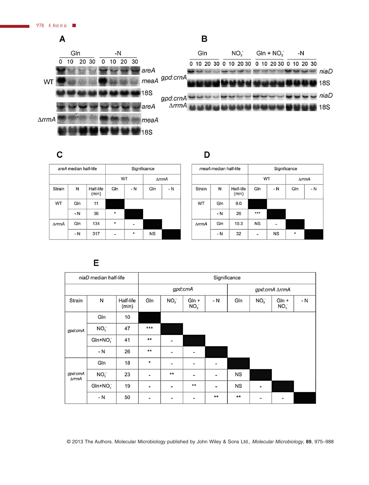

 $\mathbf C$ 

D

|                       | areA median half-life |                    | Significance |         |                             |     |  |
|-----------------------|-----------------------|--------------------|--------------|---------|-----------------------------|-----|--|
|                       |                       |                    |              | WT      | $\triangle$ rrm $\triangle$ |     |  |
| <b>Strain</b>         | Ν                     | Half-life<br>(min) | GIn          | - N     | GIn                         | - N |  |
| WT                    | Gln                   | 11                 |              |         |                             |     |  |
|                       | - N                   | 36                 | $\star$      |         |                             |     |  |
| $\triangle$ rrm $\AA$ | Gln                   | 134                | *            |         |                             |     |  |
|                       | $-N$                  | 317                |              | $\star$ | <b>NS</b>                   |     |  |

|                             | meaA median half-life |                    | Significance |           |                             |      |  |
|-----------------------------|-----------------------|--------------------|--------------|-----------|-----------------------------|------|--|
|                             |                       |                    |              | WT        | $\triangle$ rrm $\triangle$ |      |  |
| Strain                      | N                     | Half-life<br>(min) | Gln          | $-N$      | Gln                         | $-N$ |  |
| WT                          | Gln                   | 9.0                |              |           |                             |      |  |
|                             | $- N$                 | 26                 | ***          |           |                             |      |  |
| $\triangle$ rrm $\triangle$ | Gln                   | 10.3               | <b>NS</b>    |           |                             |      |  |
|                             | $-N$                  | 32                 |              | <b>NS</b> | $\star$                     |      |  |

# E

| niaD median half-life                   |                 | Significance       |                              |                          |                              |                              |                |                 |                              |     |
|-----------------------------------------|-----------------|--------------------|------------------------------|--------------------------|------------------------------|------------------------------|----------------|-----------------|------------------------------|-----|
|                                         |                 |                    | gpd:crnA                     |                          |                              |                              | gpd:crnA ∆rrmA |                 |                              |     |
| Strain                                  | N               | Half-life<br>(min) | Gln                          | NO <sub>3</sub>          | $GIn +$<br>NO <sub>3</sub>   | - N                          | Gln            | NO <sub>3</sub> | $GIn +$<br>NO <sub>3</sub>   | - N |
|                                         | Gln             | 10                 |                              |                          |                              |                              |                |                 |                              |     |
| gpd:crnA                                | NO <sub>3</sub> | 47                 | $***$                        |                          |                              |                              |                |                 |                              |     |
|                                         | $GIn+NO3$       | 41                 | $***$                        |                          |                              |                              |                |                 |                              |     |
|                                         | - N             | 26                 | $**$                         | $\overline{\phantom{a}}$ | $\overline{\phantom{a}}$     |                              |                |                 |                              |     |
|                                         | Gln             | 18                 | *                            | -                        | $\overline{\phantom{a}}$     | $\qquad \qquad \blacksquare$ |                |                 |                              |     |
| gpd:crnA<br>$\triangle$ rrm $\triangle$ | NO <sub>3</sub> | 23                 |                              | $***$                    | $\overline{\phantom{a}}$     | -                            | <b>NS</b>      |                 |                              |     |
|                                         | $GIn+NO3$       | 19                 | $\blacksquare$               | -                        | $***$                        | $\overline{\phantom{a}}$     | <b>NS</b>      | $\blacksquare$  |                              |     |
|                                         | - N             | 50                 | $\qquad \qquad \blacksquare$ | -                        | $\qquad \qquad \blacksquare$ | $**$                         | $***$          | -               | $\qquad \qquad \blacksquare$ |     |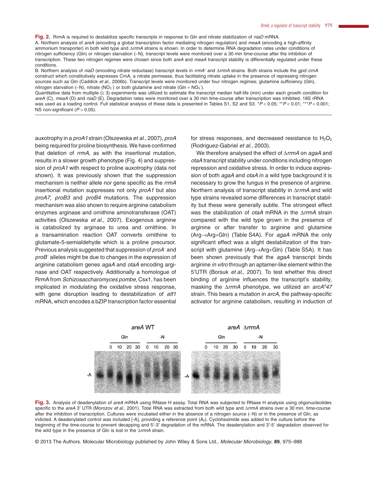**Fig. 2.** RrmA is required to destabilize specific transcripts in response to Gln and nitrate stabilization of *niaD* mRNA.

A. Northern analysis of *areA* (encoding a global transcription factor mediating nitrogen regulation) and *meaA* (encoding a high-affinity ammonium transporter) in both wild type and Δ*rrmA* strains is shown. In order to determine RNA degradation rates under conditions of nitrogen sufficiency (Gln) or nitrogen starvation (−N), transcript levels were monitored over a 30 min time-course after the inhibition of transcription. These two nitrogen regimes were chosen since both *areA* and *meaA* transcript stability is differentially regulated under these conditions.

B. Northern analysis of *niaD* (encoding nitrate reductase) transcript levels in *rrmA*<sup>+</sup> and Δ*rrmA* strains. Both strains include the *gpd::crnA* construct which constitutively expresses CrnA, a nitrate permease, thus facilitating nitrate uptake in the presence of repressing nitrogen sources such as Gln (Caddick *et al*., 2006b). Transcript levels were monitored under four nitrogen regimes; glutamine sufficiency (Gln), nitrogen starvation (–N), nitrate (NO<sub>3</sub><sup>-</sup>) or both glutamine and nitrate (Gln + NO<sub>3</sub><sup>-</sup>).

Quantitative data from multiple (≥ 3) experiments was utilized to estimate the transcript median half-life (min) under each growth condition for *areA* (C), *meaA* (D) and *niaD* (E). Degradation rates were monitored over a 30 min time-course after transcription was inhibited. 18S rRNA was used as a loading control. Full statistical analysis of these data is presented in Tables S1, S2 and S3. \**P* < 0.05; \*\**P* < 0.01; \*\*\**P* < 0.001; NS non-significant ( $P > 0.05$ ).

auxotrophy in a *proA1* strain (Olszewska *et al*., 2007), *proA* being required for proline biosynthesis. We have confirmed that deletion of *rrmA*, as with the insertional mutation, results in a slower growth phenotype (Fig. 4) and suppression of *proA1* with respect to proline auxotrophy (data not shown). It was previously shown that the suppression mechanism is neither allele nor gene specific as the *rrmA* insertional mutation suppresses not only *proA1* but also *proA7*, *proB3* and *proB4* mutations. The suppression mechanism was also shown to require arginine catabolism enzymes arginase and ornithine aminotransferase (OAT) activities (Olszewska *et al*., 2007). Exogenous arginine is catabolized by arginase to urea and ornithine. In a transamination reaction OAT converts ornithine to glutamate-5-semialdehyde which is a proline precursor. Previous analysis suggested that suppression of *proA<sup>−</sup>* and *proB<sup>−</sup>* alleles might be due to changes in the expression of arginine catabolism genes *agaA* and *otaA* encoding arginase and OAT respectively. Additionally a homologue of RrmA from *Schizosaccharomyces pombe*, Csx1, has been implicated in modulating the oxidative stress response, with gene disruption leading to destabilization of *atf1* mRNA, which encodes a bZIP transcription factor essential

for stress responses, and decreased resistance to  $H_2O_2$ (Rodriguez-Gabriel *et al*., 2003).

We therefore analysed the effect of Δ*rrmA* on *agaA* and *otaA* transcript stability under conditions including nitrogen repression and oxidative stress. In order to induce expression of both *agaA* and *otaA* in a wild type background it is necessary to grow the fungus in the presence of arginine. Northern analysis of transcript stability in Δr*rmA* and wild type strains revealed some differences in transcript stability but these were generally subtle. The strongest effect was the stabilization of *otaA* mRNA in the Δ*rrmA* strain compared with the wild type grown in the presence of arginine or after transfer to arginine and glutamine (Arg→Arg+Gln) (Table S4A). For *agaA* mRNA the only significant effect was a slight destabilization of the transcript with glutamine (Arg→Arg+Gln) (Table S5A). It has been shown previously that the *agaA* transcript binds arginine *in vitro* through an aptamer-like element within the 5′UTR (Borsuk *et al*., 2007). To test whether this direct binding of arginine influences the transcript's stability, masking the ΔrrmA phenotype, we utilized an arcA<sup>d</sup>47 strain. This bears a mutation in *arcA*, the pathway-specific activator for arginine catabolism, resulting in induction of



**Fig. 3.** Analysis of deadenylation of *areA* mRNA using RNase H assay. Total RNA was subjected to RNase H analysis using oligonucleotides specific to the *areA* 3′ UTR (Morozov *et al*., 2001). Total RNA was extracted from both wild type and Δ*rrmA* strains over a 30 min. time-course after the inhibition of transcription. Cultures were incubated either in the absence of a nitrogen source (−N) or in the presence of Gln, as indicted. A deadenylated control was included [-A], providing a reference point (A0). Cycloheximide was added to the culture before the beginning of the time-course to prevent decapping and 5′-3′ degradation of the mRNA. The deadenylation and 3′-5′ degradation observed for the wild type in the presence of Gln is lost in the Δ*rrmA* strain.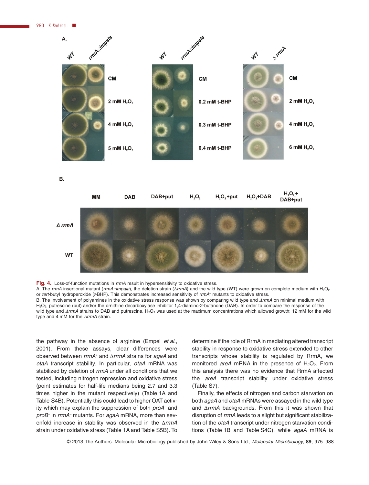980 K. Krol et al.



B.



**Fig. 4.** Loss-of-function mutations in *rrmA* result in hypersensitivity to oxidative stress.

A. The rrmA insertional mutant (rrmA::impala), the deletion strain (ΔrrmA) and the wild type (WT) were grown on complete medium with H<sub>2</sub>O<sub>2</sub> or *tert*-butyl hydroperoxide (*t*-BHP). This demonstrates increased sensitivity of *rrmA<sup>−</sup>* mutants to oxidative stress.

B. The involvement of polyamines in the oxidative stress response was shown by comparing wild type and *ΔrrmA* on minimal medium with H2O2, putrescine (put) and/or the ornithine decarboxylase inhibitor 1,4-diamino-2-butanone (DAB). In order to compare the response of the wild type and *ΔrrmA* strains to DAB and putrescine, H<sub>2</sub>O<sub>2</sub> was used at the maximum concentrations which allowed growth; 12 mM for the wild type and 4 mM for the *ΔrrmA* strain.

the pathway in the absence of arginine (Empel *et al*., 2001). From these assays, clear differences were observed between *rrmA<sup>+</sup>* and Δ*rrmA* strains for *agaA* and *otaA* transcript stability. In particular, *otaA* mRNA was stabilized by deletion of *rrmA* under all conditions that we tested, including nitrogen repression and oxidative stress (point estimates for half-life medians being 2.7 and 3.3 times higher in the mutant respectively) (Table 1A and Table S4B). Potentially this could lead to higher OAT activity which may explain the suppression of both *proA<sup>−</sup>* and *proB<sup>−</sup>* in *rrmA<sup>−</sup>* mutants. For *agaA* mRNA, more than sevenfold increase in stability was observed in the Δ*rrmA* strain under oxidative stress (Table 1A and Table S5B). To determine if the role of RrmA in mediating altered transcript stability in response to oxidative stress extended to other transcripts whose stability is regulated by RrmA, we monitored *areA* mRNA in the presence of  $H_2O_2$ . From this analysis there was no evidence that RrmA affected the *areA* transcript stability under oxidative stress (Table S7).

Finally, the effects of nitrogen and carbon starvation on both *agaA* and *otaA* mRNAs were assayed in the wild type and Δ*rrmA* backgrounds. From this it was shown that disruption of *rrmA* leads to a slight but significant stabilization of the *otaA* transcript under nitrogen starvation conditions (Table 1B and Table S4C), while *agaA* mRNA is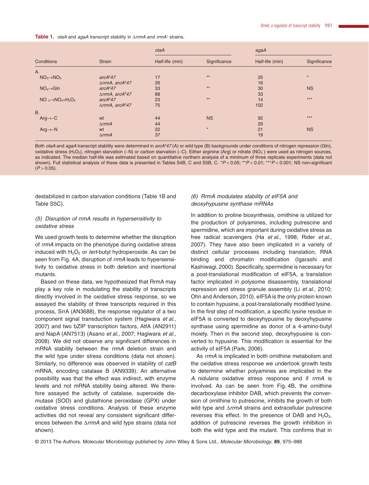**Table 1.** *otaA* and *agaA* transcript stability in Δ*rrmA* and *rrmA<sup>+</sup>* strains.

|                                  | <b>Strain</b>                   | otaA            |              | agaA            |              |
|----------------------------------|---------------------------------|-----------------|--------------|-----------------|--------------|
| Conditions                       |                                 | Half-life (min) | Significance | Half-life (min) | Significance |
| A.                               |                                 |                 |              |                 |              |
| $NO3 \rightarrow NO3$            | arcA <sup>d</sup> 47            | 17              | $**$         | 25              | $\star$      |
|                                  | $\triangle$ rrmA, arc $A^{d}47$ | 26              |              | 16              |              |
| $NO3 \rightarrow Gln$            | arcA <sup>d</sup> 47            | 33              | $**$         | 30              | <b>NS</b>    |
|                                  | $\triangle$ rrmA, arc $A^{d}47$ | 88              |              | 33              |              |
| $NO_3 \rightarrow NO_3 + H_2O_2$ | arcA <sup>d</sup> 47            | 23              | $**$         | 14              | $***$        |
|                                  | $\triangle$ rrmA, arc $A^{d}47$ | 75              |              | 102             |              |
| <b>B.</b>                        |                                 |                 |              |                 |              |
| $Arg \rightarrow C$              | wt                              | 44              | <b>NS</b>    | 92              | $***$        |
|                                  | $\triangle$ rrm $\triangle$     | 44              |              | 29              |              |
| $Arg \rightarrow N$              | wt                              | 22              | $\star$      | 21              | <b>NS</b>    |
|                                  | $\triangle$ rrm $\triangle$     | 37              |              | 19              |              |

Both *otaA* and *agaA* transcript stability were determined in *arcA<sup>d</sup>47* (A) or wild type (B) backgrounds under conditions of nitrogen repression (Gln), oxidative stress (H<sub>2</sub>O<sub>2</sub>), nitrogen starvation (–N) or carbon starvation (–C). Either arginine (Arg) or nitrate (NO<sub>3</sub><sup>-</sup>) were used as nitrogen sources, as indicated. The median half-life was estimated based on quantitative northern analysis of a minimum of three replicate experiments (data not shown). Full statistical analysis of these data is presented in Tables S4B, C and S5B, C. \**P* < 0.05; \*\**P* < 0.01; \*\*\**P* < 0.001; NS non-significant  $(P > 0.05)$ .

destabilized in carbon starvation conditions (Table 1B and Table S5C).

# *(5) Disruption of rrmA results in hypersensitivity to oxidative stress*

We used growth tests to determine whether the disruption of *rrmA* impacts on the phenotype during oxidative stress induced with  $H_2O_2$  or *tert*-butyl hydroperoxide. As can be seen from Fig. 4A, disruption of *rrmA* leads to hypersensitivity to oxidative stress in both deletion and insertional mutants.

Based on these data, we hypothesized that RrmA may play a key role in modulating the stability of transcripts directly involved in the oxidative stress response, so we assayed the stability of three transcripts required in this process, SrrA (AN3688), the response regulator of a two component signal transduction system (Hagiwara *et al*., 2007) and two bZIP transcription factors, AtfA (AN2911) and NapA (AN7513) (Asano *et al*., 2007; Hagiwara *et al*., 2008). We did not observe any significant differences in mRNA stability between the *rrmA* deletion strain and the wild type under stress conditions (data not shown). Similarly, no difference was observed in stability of *catB* mRNA, encoding catalase B (AN9339). An alternative possibility was that the effect was indirect, with enzyme levels and not mRNA stability being altered. We therefore assayed the activity of catalase, superoxide dismutase (SOD) and glutathione peroxidase (GPX) under oxidative stress conditions. Analysis of these enzyme activities did not reveal any consistent significant differences between the Δ*rrmA* and wild type strains (data not shown).

#### *(6) RrmA modulates stability of eIF5A and deoxyhypusine synthase mRNAs*

In addition to proline biosynthesis, ornithine is utilized for the production of polyamines, including putrescine and spermidine, which are important during oxidative stress as free radical scavengers (Ha *et al*., 1998; Rider *et al*., 2007). They have also been implicated in a variety of distinct cellular processes including translation, RNA binding and chromatin modification (Igarashi and Kashiwagi, 2000). Specifically, spermidine is necessary for a post-translational modification of eIF5A, a translation factor implicated in polysome disassembly, translational repression and stress granule assembly (Li *et al*., 2010; Ohn and Anderson, 2010). eIF5A is the only protein known to contain hypusine, a post-translationally modified lysine. In the first step of modification, a specific lysine residue in eIF5A is converted to deoxyhypusine by deoxyhypusine synthase using spermidine as donor of a 4-amino-butyl moiety. Then in the second step, deoxyhypusine is converted to hypusine. This modification is essential for the activity of eIF5A (Park, 2006).

As *rrmA* is implicated in both ornithine metabolism and the oxidative stress response we undertook growth tests to determine whether polyamines are implicated in the *A. nidulans* oxidative stress response and if *rrmA* is involved. As can be seen from Fig. 4B, the ornithine decarboxylase inhibitor DAB, which prevents the conversion of ornithine to putrescine, inhibits the growth of both wild type and Δ*rrmA* strains and extracellular putrescine reverses this effect. In the presence of DAB and  $H_2O_2$ , addition of putrescine reverses the growth inhibition in both the wild type and the mutant. This confirms that in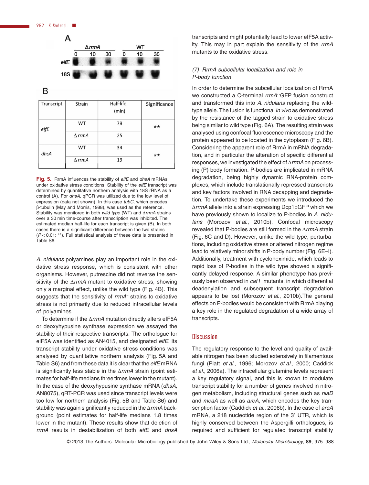

B

| Transcript | Strain           | Half-life<br>(min) | Significance |
|------------|------------------|--------------------|--------------|
| eifE       | WT               | 79                 | $***$        |
|            | $\triangle$ rrmA | 25                 |              |
| dhsA       | WT               | 34                 | $***$        |
|            | $\triangle$ rrmA | 19                 |              |

**Fig. 5.** RrmA influences the stability of *eifE* and *dhsA* mRNAs under oxidative stress conditions. Stability of the *eifE* transcript was determined by quantitative northern analysis with 18S rRNA as a control (A). For *dhsA*, qPCR was utilized due to the low level of expression (data not shown). In this case *tubC*, which encodes β-tubulin (May and Morris, 1988), was used as the reference. Stability was monitored in both *wild type* (WT) and Δ*rrmA* strains over a 30 min time-course after transcription was inhibited. The estimated median half-life for each transcript is given (B). In both cases there is a significant difference between the two strains (*P* < 0.01; \*\*). Full statistical analysis of these data is presented in Table S6.

*A. nidulans* polyamines play an important role in the oxidative stress response, which is consistent with other organisms. However, putrescine did not reverse the sensitivity of the Δ*rrmA* mutant to oxidative stress, showing only a marginal effect, unlike the wild type (Fig. 4B). This suggests that the sensitivity of *rrmA<sup>−</sup>* strains to oxidative stress is not primarily due to reduced intracellular levels of polyamines.

To determine if the Δ*rrmA* mutation directly alters eIF5A or deoxyhypusine synthase expression we assayed the stability of their respective transcripts. The orthologue for eIF5A was identified as AN4015, and designated *eifE*. Its transcript stability under oxidative stress conditions was analysed by quantitative northern analysis (Fig. 5A and Table S6) and from these data it is clear that the *eifE* mRNA is significantly less stable in the Δ*rrmA* strain (point estimates for half-life medians three times lower in the mutant). In the case of the deoxyhypusine synthase mRNA (*dhsA*, AN8075), qRT-PCR was used since transcript levels were too low for northern analysis (Fig. 5B and Table S6) and stability was again significantly reduced in the Δ*rrmA* background (point estimates for half-life medians 1.8 times lower in the mutant). These results show that deletion of *rrmA* results in destabilization of both *eifE* and *dhsA* transcripts and might potentially lead to lower eIF5A activity. This may in part explain the sensitivity of the *rrmA* mutants to the oxidative stress.

# *(7) RrmA subcellular localization and role in P-body function*

In order to determine the subcellular localization of RrmA we constructed a C-terminal *rrmA*::GFP fusion construct and transformed this into *A. nidulans* replacing the wildtype allele. The fusion is functional *in vivo* as demonstrated by the resistance of the tagged strain to oxidative stress being similar to wild type (Fig. 6A). The resulting strain was analysed using confocal fluorescence microscopy and the protein appeared to be located in the cytoplasm (Fig. 6B). Considering the apparent role of RrmA in mRNA degradation, and in particular the alteration of specific differential responses, we investigated the effect of Δ*rrmA* on processing (P) body formation. P-bodies are implicated in mRNA degradation, being highly dynamic RNA-protein complexes, which include translationally repressed transcripts and key factors involved in RNA decapping and degradation. To undertake these experiments we introduced the Δ*rrmA* allele into a strain expressing Dcp1::GFP which we have previously shown to localize to P-bodies in *A. nidulans* (Morozov *et al*., 2010b). Confocal microscopy revealed that P-bodies are still formed in the Δ*rrmA* strain (Fig. 6C and D). However, unlike the wild type, perturbations, including oxidative stress or altered nitrogen regime lead to relatively minor shifts in P-body number (Fig. 6E–I). Additionally, treatment with cycloheximide, which leads to rapid loss of P-bodies in the wild type showed a significantly delayed response. A similar phenotype has previously been observed in *caf1<sup>−</sup>* mutants, in which differential deadenylation and subsequent transcript degradation appears to be lost (Morozov *et al*., 2010b).The general effects on P-bodies would be consistent with RrmA playing a key role in the regulated degradation of a wide array of transcripts.

#### **Discussion**

The regulatory response to the level and quality of available nitrogen has been studied extensively in filamentous fungi (Platt *et al*., 1996; Morozov *et al*., 2000; Caddick *et al*., 2006a). The intracellular glutamine levels represent a key regulatory signal, and this is known to modulate transcript stability for a number of genes involved in nitrogen metabolism, including structural genes such as *niaD* and *meaA* as well as *areA*, which encodes the key transcription factor (Caddick *et al*., 2006b). In the case of *areA* mRNA, a 218 nucleotide region of the 3′ UTR, which is highly conserved between the Aspergilli orthologues, is required and sufficient for regulated transcript stability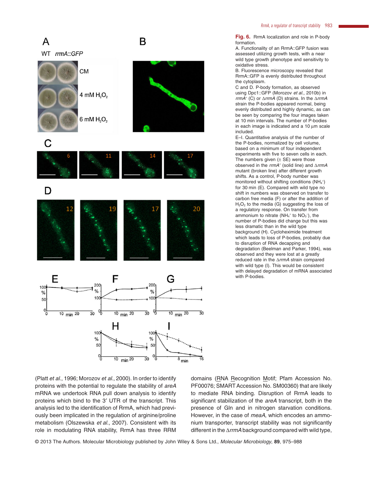**Fig. 6.** RrmA localization and role in P-body formation.

A. Functionality of an RrmA::GFP fusion was assessed utilizing growth tests, with a near wild type growth phenotype and sensitivity to oxidative stress.

B. Fluorescence microscopy revealed that RrmA::GFP is evenly distributed throughout the cytoplasm.

C and D. P-body formation, as observed using Dpc1::GFP (Morozov *et al*., 2010b) in *rrmA<sup>+</sup>* (C) or Δ*rrmA* (D) strains. In the Δ*rrmA* strain the P-bodies appeared normal, being evenly distributed and highly dynamic, as can be seen by comparing the four images taken at 10 min intervals. The number of P-bodies in each image is indicated and a 10 μm scale included.

E–I. Quantitative analysis of the number of the P-bodies, normalized by cell volume, based on a minimum of four independent experiments with five to seven cells in each. The numbers given  $(\pm S E)$  were those observed in the *rrmA<sup>+</sup>* (solid line) and Δ*rrmA* mutant (broken line) after different growth shifts. As a control, P-body number was monitored without shifting conditions  $(NH_4^+)$ for 30 min (E). Compared with wild type no shift in numbers was observed on transfer to carbon free media (F) or after the addition of  $H<sub>2</sub>O<sub>2</sub>$  to the media (G) suggesting the loss of a regulatory response. On transfer from ammonium to nitrate (NH<sub>4</sub><sup>+</sup> to NO<sub>3</sub><sup>-</sup>), the number of P-bodies did change but this was less dramatic than in the wild type background (H). Cycloheximide treatment which leads to loss of P-bodies, probably due to disruption of RNA decapping and degradation (Beelman and Parker, 1994), was observed and they were lost at a greatly reduced rate in the Δ*rrmA* strain compared with wild type (I). This would be consistent with delayed degradation of mRNA associated with P-bodies.

 $10$ <sub>min</sub>  $20$ (Platt *et al*., 1996; Morozov *et al*., 2000). In order to identify proteins with the potential to regulate the stability of *areA* mRNA we undertook RNA pull down analysis to identify proteins which bind to the 3′ UTR of the transcript. This analysis led to the identification of RrmA, which had previously been implicated in the regulation of arginine/proline

metabolism (Olszewska *et al*., 2007). Consistent with its role in modulating RNA stability, RrmA has three RRM domains (RNA Recognition Motif; Pfam Accession No. PF00076; SMART Accession No. SM00360) that are likely to mediate RNA binding. Disruption of RrmA leads to significant stabilization of the *areA* transcript, both in the presence of Gln and in nitrogen starvation conditions. However, in the case of *meaA*, which encodes an ammonium transporter, transcript stability was not significantly different in the Δ*rrmA* background compared with wild type,

© 2013 The Authors. Molecular Microbiology published by John Wiley & Sons Ltd., *Molecular Microbiology*, **89**, 975–988



B

A

WT rrmA::GFP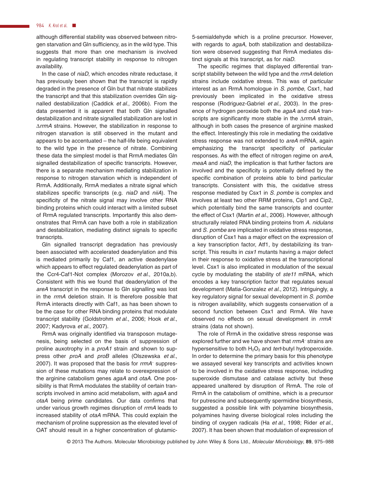although differential stability was observed between nitrogen starvation and Gln sufficiency, as in the wild type. This suggests that more than one mechanism is involved in regulating transcript stability in response to nitrogen availability.

In the case of *niaD*, which encodes nitrate reductase, it has previously been shown that the transcript is rapidly degraded in the presence of Gln but that nitrate stabilizes the transcript and that this stabilization overrides Gln signalled destabilization (Caddick *et al*., 2006b). From the data presented it is apparent that both Gln signalled destabilization and nitrate signalled stabilization are lost in Δ*rrmA* strains. However, the stabilization in response to nitrogen starvation is still observed in the mutant and appears to be accentuated  $-$  the half-life being equivalent to the wild type in the presence of nitrate. Combining these data the simplest model is that RrmA mediates Gln signalled destabilization of specific transcripts. However, there is a separate mechanism mediating stabilization in response to nitrogen starvation which is independent of RrmA. Additionally, RrmA mediates a nitrate signal which stabilizes specific transcripts (e.g. *niaD* and *niiA*). The specificity of the nitrate signal may involve other RNA binding proteins which could interact with a limited subset of RrmA regulated transcripts. Importantly this also demonstrates that RrmA can have both a role in stabilization and destabilization, mediating distinct signals to specific transcripts.

Gln signalled transcript degradation has previously been associated with accelerated deadenylation and this is mediated primarily by Caf1, an active deadenylase which appears to effect regulated deadenylation as part of the Ccr4-Caf1-Not complex (Morozov *et al*., 2010a,b). Consistent with this we found that deadenylation of the *areA* transcript in the response to Gln signalling was lost in the *rrmA* deletion strain. It is therefore possible that RrmA interacts directly with Caf1, as has been shown to be the case for other RNA binding proteins that modulate transcript stability (Goldstrohm *et al*., 2006; Hook *et al*., 2007; Kadyrova *et al*., 2007).

RrmA was originally identified via transposon mutagenesis, being selected on the basis of suppression of proline auxotrophy in a *proA1* strain and shown to suppress other *proA* and *proB* alleles (Olszewska *et al*., 2007). It was proposed that the basis for *rrmA*<sup>−</sup> suppression of these mutations may relate to overexpression of the arginine catabolism genes *agaA* and *otaA*. One possibility is that RrmA modulates the stability of certain transcripts involved in amino acid metabolism, with *agaA* and *otaA* being prime candidates. Our data confirms that under various growth regimes disruption of *rrmA* leads to increased stability of *otaA* mRNA. This could explain the mechanism of proline suppression as the elevated level of OAT should result in a higher concentration of glutamic5-semialdehyde which is a proline precursor. However, with regards to *agaA*, both stabilization and destabilization were observed suggesting that RrmA mediates distinct signals at this transcript, as for *niaD*.

The specific regimes that displayed differential transcript stability between the wild type and the *rrmA* deletion strains include oxidative stress. This was of particular interest as an RrmA homologue in *S. pombe*, Csx1, had previously been implicated in the oxidative stress response (Rodriguez-Gabriel *et al*., 2003). In the presence of hydrogen peroxide both the *agaA* and *otaA* transcripts are significantly more stable in the Δ*rrmA* strain, although in both cases the presence of arginine masked the effect. Interestingly this role in mediating the oxidative stress response was not extended to *areA* mRNA, again emphasizing the transcript specificity of particular responses. As with the effect of nitrogen regime on *areA*, *meaA* and *niaD*, the implication is that further factors are involved and the specificity is potentially defined by the specific combination of proteins able to bind particular transcripts. Consistent with this, the oxidative stress response mediated by Csx1 in *S. pombe* is complex and involves at least two other RRM proteins, Cip1 and Cip2, which potentially bind the same transcripts and counter the effect of Csx1 (Martin *et al*., 2006). However, although structurally related RNA binding proteins from *A. nidulans* and *S. pombe* are implicated in oxidative stress response, disruption of Csx1 has a major effect on the expression of a key transcription factor, Atf1, by destabilizing its transcript. This results in *csx1* mutants having a major defect in their response to oxidative stress at the transcriptional level. Csx1 is also implicated in modulation of the sexual cycle by modulating the stability of *ste11* mRNA, which encodes a key transcription factor that regulates sexual development (Matia-Gonzalez *et al*., 2012). Intriguingly, a key regulatory signal for sexual development in *S. pombe* is nitrogen availability, which suggests conservation of a second function between Csx1 and RrmA. We have observed no effects on sexual development in *rrmA*<sup>−</sup> strains (data not shown).

The role of RrmA in the oxidative stress response was explored further and we have shown that *rrmA<sup>−</sup>* strains are hypersensitive to both H<sub>2</sub>O<sub>2</sub> and *tert*-butyl hydroperoxide. In order to determine the primary basis for this phenotype we assayed several key transcripts and activities known to be involved in the oxidative stress response, including superoxide dismutase and catalase activity but these appeared unaltered by disruption of RrmA. The role of RrmA in the catabolism of ornithine, which is a precursor for putrescine and subsequently spermidine biosynthesis, suggested a possible link with polyamine biosynthesis, polyamines having diverse biological roles including the binding of oxygen radicals (Ha *et al*., 1998; Rider *et al*., 2007). It has been shown that modulation of expression of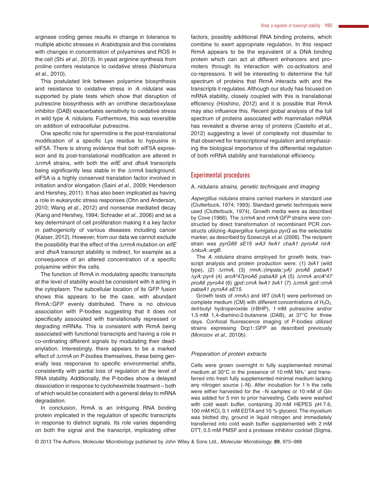*et al*., 2010). This postulated link between polyamine biosynthesis and resistance to oxidative stress in *A. nidulans* was supported by plate tests which show that disruption of putrescine biosynthesis with an ornithine decarboxylase inhibitor (DAB) exacerbates sensitivity to oxidative stress in wild type *A. nidulans*. Furthermore, this was reversible on addition of extracellular putrescine.

One specific role for spermidine is the post-translational modification of a specific Lys residue to hypusine in eIF5A. There is strong evidence that both eIF5A expression and its post-translational modification are altered in Δ*rrmA* strains, with both the *eifE* and *dhsA* transcripts being significantly less stable in the Δ*rrmA* background. eIF5A is a highly conserved translation factor involved in initiation and/or elongation (Saini *et al*., 2009; Henderson and Hershey, 2011). It has also been implicated as having a role in eukaryotic stress responses (Ohn and Anderson, 2010; Wang *et al*., 2012) and nonsense mediated decay (Kang and Hershey, 1994; Schrader *et al*., 2006) and as a key determinant of cell proliferation making it a key factor in pathogenicity of various diseases including cancer (Kaiser, 2012). However, from our data we cannot exclude the possibility that the effect of the Δ*rrmA* mutation on *eifE* and *dhsA* transcript stability is indirect, for example as a consequence of an altered concentration of a specific polyamine within the cells.

The function of RrmA in modulating specific transcripts at the level of stability would be consistent with it acting in the cytoplasm. The subcellular location of its GFP fusion shows this appears to be the case, with abundant RrmA::GFP evenly distributed. There is no obvious association with P-bodies suggesting that it does not specifically associated with translationally repressed or degrading mRNAs. This is consistent with RrmA being associated with functional transcripts and having a role in co-ordinating different signals by modulating their deadenylation. Interestingly, there appears to be a marked effect of Δ*rrmA* on P-bodies themselves, these being generally less responsive to specific environmental shifts, consistently with partial loss of regulation at the level of RNA stability. Additionally, the P-bodies show a delayed dissociation in response to cycloheximide treatment – both of which would be consistent with a general delay to mRNA degradation.

In conclusion, RrmA is an intriguing RNA binding protein implicated in the regulation of specific transcripts in response to distinct signals. Its role varies depending on both the signal and the transcript, implicating other factors, possibly additional RNA binding proteins, which combine to exert appropriate regulation. In this respect RrmA appears to be the equivalent of a DNA binding protein which can act at different enhancers and promoters through its interaction with co-activators and co-repressors. It will be interesting to determine the full spectrum of proteins that RrmA interacts with and the transcripts it regulates. Although our study has focused on mRNA stability, closely coupled with this is translational efficiency (Hoshino, 2012) and it is possible that RrmA may also influence this. Recent global analysis of the full spectrum of proteins associated with mammalian mRNA has revealed a diverse array of proteins (Castello *et al*., 2012) suggesting a level of complexity not dissimilar to that observed for transcriptional regulation and emphasizing the biological importance of the differential regulation of both mRNA stability and translational efficiency.

# Experimental procedures

#### A. nidulans *strains, genetic techniques and imaging*

*Aspergillus nidulans* strains carried markers in standard use (Clutterbuck, 1974; 1993). Standard genetic techniques were used (Clutterbuck, 1974). Growth media were as described by Cove (1966). The Δ*rrmA* and *rrmA:GFP* strains were constructed by direct transformation of recombinant PCR constructs utilizing *Aspergillus fumigatus pyrG* as the selectable marker, as described by Szewczyk *et al*. (2006). The recipient strain was *pyrG89 sE15 wA3 fwA1 chaA1 pyroA4 nirA*<sup>−</sup> Δ*nkuA*::*argB*.

The *A. nidulans* strains employed for growth tests, transcript analysis and protein production were: (1) *biA1* (wild type), (2) Δ*rrmA*, (3) *rrmA::(impala::yA) proA6 pabaA1*  $\Delta y$ A::pyr4 (4) arcA<sup>d</sup>47proA6 pabaA9 yA (5)  $\Delta$ rrmA arcA<sup>d</sup>47 *proA6 pyroA4* (6) *gpd::crnA fwA1 biA1* (7) Δ*rrmA gpd::crnA pabaA1 pyroA4 sE15*.

Growth tests of *rrmAΔ* and *WT* (*biA1*) were performed on complete medium (CM) with different concentrations of  $H_2O_2$ *tert*-butyl hydroperoxide (*t*-BHP), 1 mM putrescine and/or 1.5 mM 1,4-diamino-2-butanone (DAB), at 37°C for three days. Confocal fluorescence imaging of P-bodies utilized strains expressing Dcp1::GFP as described previously (Morozov *et al*., 2010b).

#### *Preparation of protein extracts*

Cells were grown overnight in fully supplemented minimal medium at 30 $^{\circ}$ C in the presence of 10 mM NH<sub>4</sub><sup>+</sup> and transferred into fresh fully supplemented minimal medium lacking any nitrogen source (−N). After incubation for 1 h the cells were either harvested for the −N samples or 10 mM of Gln was added for 5 min to prior harvesting. Cells were washed with cold wash buffer, containing 20 mM HEPES pH 7.6, 100 mM KCl, 0.1 mM EDTA and 10 % glycerol. The mycelium was blotted dry, ground in liquid nitrogen and immediately transferred into cold wash buffer supplemented with 2 mM DTT, 0.5 mM PMSF and a protease inhibitor cocktail (Sigma,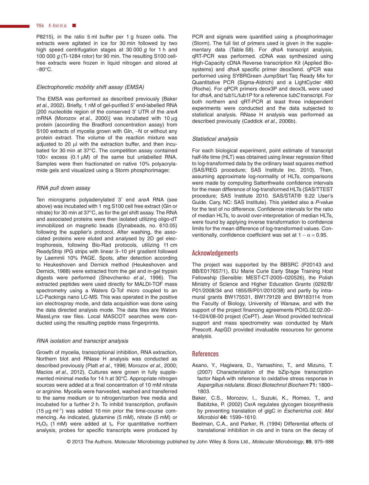P8215), in the ratio 5 ml buffer per 1 g frozen cells. The extracts were agitated in ice for 30 min followed by two high speed centrifugation stages at 30 000 *g* for 1 h and 100 000 *g* (Ti-1284 rotor) for 90 min. The resulting S100 cellfree extracts were frozen in liquid nitrogen and stored at −80°C.

#### *Electrophoretic mobility shift assay (EMSA)*

The EMSA was performed as described previously (Baker *et al*., 2002). Briefly, 1 nM of gel-purified 5′ end-labelled RNA [200 nucleotide region of the conserved 3′ UTR of the *areA* mRNA (Morozov *et al*., 2000)] was incubated with 10 μg protein (according the Bradford concentration assay) from S100 extracts of mycelia grown with Gln, -N or without any protein extract. The volume of the reaction mixture was adjusted to 20 μl with the extraction buffer, and then incubated for 30 min at 37°C. The competition assay contained  $100\times$  excess (0.1 μM) of the same but unlabelled RNA. Samples were then fractionated on native 10% polyacrylamide gels and visualized using a Storm phosphorimager.

#### *RNA pull down assay*

Ten micrograms polyadenylated 3′ end *areA* RNA (see above) was incubated with 1 mg S100 cell free extract (Gln or nitrate) for 30 min at 37°C, as for the gel shift assay. The RNA and associated proteins were then isolated utilizing oligo-dT immobilized on magnetic beads (Dynabeads, no. 610.05) following the supplier's protocol. After washing, the associated proteins were eluted and analysed by 2D gel electrophoresis, following Bio-Rad protocols, utilizing 11 cm ReadyStrip IPG strips with linear 3–10 pH gradient followed by Laemmli 10% PAGE. Spots, after detection according to Heukeshoven and Dernick method (Heukeshoven and Dernick, 1988) were extracted from the gel and in-gel trypsin digests were performed (Shevchenko *et al*., 1996). The extracted peptides were used directly for MALDI-TOF mass spectrometry using a Waters Q-Tof micro coupled to an LC-Packings nano LC-MS. This was operated in the positive ion electrospray mode, and data acquisition was done using the data directed analysis mode. The data files are Waters MassLynx raw files. Local MASCOT searches were conducted using the resulting peptide mass fingerprints.

#### *RNA isolation and transcript analysis*

Growth of mycelia, transcriptional inhibition, RNA extraction, Northern blot and RNase H analysis was conducted as described previously (Platt *et al*., 1996; Morozov *et al*., 2000; Macios *et al*., 2012). Cultures were grown in fully supplemented minimal media for 14 h at 30°C. Appropriate nitrogen sources were added at a final concentration of 10 mM nitrate or arginine. Mycelia were harvested, washed and transferred to the same medium or to nitrogen/carbon free media and incubated for a further 2 h. To inhibit transcription, proflavin (15 μg ml<sup>−</sup><sup>1</sup> ) was added 10 min prior the time-course commencing. As indicated, glutamine (5 mM), nitrate (5 mM) or  $H_2O_2$  (1 mM) were added at t<sub>0</sub>. For quantitative northern analysis, probes for specific transcripts were produced by

PCR and signals were quantified using a phosphorimager (Storm). The full list of primers used is given in the supplementary data (Table S8). For *dhsA* transcript analysis, qRT-PCR was performed. cDNA was synthesized using High-Capacity cDNA Reverse transcription Kit (Applied Biosystems) and *dhsA* specific primer deox3end. qPCR was performed using SYBRGreen JumpStart Taq Ready Mix for Quantitative PCR (Sigma-Aldrich) and a LightCycler 480 (Roche). For qPCR primers deox3P and deox3L were used for *dhsA*, and tub1L/tub1P for a reference *tubC* transcript. For both northern and qRT-PCR at least three independent experiments were conducted and the data subjected to statistical analysis. RNase H analysis was performed as described previously (Caddick *et al*., 2006b).

#### *Statistical analysis*

For each biological experiment, point estimate of transcript half-life time (HLT) was obtained using linear regression fitted to log-transformed data by the ordinary least squares method (SAS/REG procedure; SAS Institute Inc. 2010). Then, assuming approximate log-normality of HLTs, comparisons were made by computing Satterthwaite confidence intervals for the mean difference of log-transformed HLTs (SAS/TTEST procedure; SAS Institute 2010. SAS/STAT® 9.22 User's Guide. Cary, NC: SAS Institute). This yielded also a *P*-value for the test of no difference. Confidence intervals for the ratio of median HLTs, to avoid over-interpretation of median HLTs, were found by applying inverse transformation to confidence limits for the mean difference of log-transformed values. Conventionally, confidence coefficient was set at  $1 - \alpha = 0.95$ .

#### Acknowledgements

The project was supported by the BBSRC (P20143 and BB/E017657/1), EU Marie Curie Early Stage Training Host Fellowship (Sensible: MEST-CT-2005–020526), the Polish Ministry of Science and Higher Education Grants (0292/B/ P01/2008/34 and 1855/B/P01/2010/38) and partly by intramural grants BW175531, BW179129 and BW183114 from the Faculty of Biology, University of Warsaw, and with the support of the project financing agreements POIG.02.02.00– 14-024/08-00 project (CePT). Jean Wood provided technical support and mass spectrometry was conducted by Mark Prescott. AspGD provided invaluable resources for genome analysis.

#### References

- Asano, Y., Hagiwara, D., Yamashino, T., and Mizuno, T. (2007) Characterization of the bZip-type transcription factor NapA with reference to oxidative stress response in *Aspergillus nidulans*. *Biosci Biotechnol Biochem* **71:** 1800– 1803.
- Baker, C.S., Morozov, I., Suzuki, K., Romeo, T., and Babitzke, P. (2002) CsrA regulates glycogen biosynthesis by preventing translation of glgC in *Escherichia coli*. *Mol Microbiol* **44:** 1599–1610.
- Beelman, C.A., and Parker, R. (1994) Differential effects of translational inhibition in cis and in trans on the decay of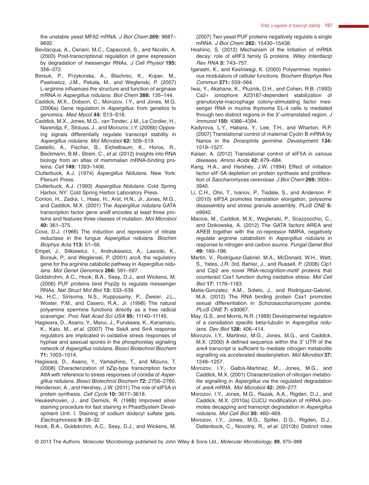the unstable yeast MFA2 mRNA. *J Biol Chem* **269:** 9687– 9692.

- Bevilacqua, A., Ceriani, M.C., Capaccioli, S., and Nicolin, A. (2003) Post-transcriptional regulation of gene expression by degradation of messenger RNAs. *J Cell Physiol* **195:** 356–372.
- Borsuk, P., Przykorska, A., Blachnio, K., Koper, M., Pawlowicz, J.M., Pekala, M., and Weglenski, P. (2007) L-arginine influences the structure and function of arginase mRNA in *Aspergillus nidulans*. *Biol Chem* **388:** 135–144.
- Caddick, M.X., Dobson, C., Morozov, I.Y., and Jones, M.G. (2006a) Gene regulation in *Aspergillus*: from genetics to genomics. *Med Mycol* **44:** S13–S16.
- Caddick, M.X., Jones, M.G., van Tonder, J.M., Le Cordier, H., Narendja, F., Strauss, J., and Morozov, I.Y. (2006b) Opposing signals differentially regulate transcript stability in *Aspergillus nidulans*. *Mol Microbiol* **62:** 509–519.
- Castello, A., Fischer, B., Eichelbaum, K., Horos, R., Beckmann, B.M., Strein, C., *et al*. (2012) Insights into RNA biology from an atlas of mammalian mRNA-binding proteins. *Cell* **149:** 1393–1406.
- Clutterbuck, A.J. (1974) *Aspergillus Nidulans*. New York: Plenum Press.
- Clutterbuck, A.J. (1993) *Aspergillus Nidulans*. Cold Spring Harbor, NY: Cold Spring Harbor Laboratory Press.
- Conlon, H., Zadra, I., Haas, H., Arst, H.N., Jr, Jones, M.G., and Caddick, M.X. (2001) The *Aspergillus nidulans* GATA transcription factor gene *areB* encodes at least three proteins and features three classes of mutation. *Mol Microbiol* **40:** 361–375.
- Cove, D.J. (1966) The induction and repression of nitrate reductase in the fungus *Aspergillus nidulans*. *Biochim Biophys Acta* **113:** 51–56.
- Empel, J., Sitkiewicz, I., Andrukiewicz, A., Lasocki, K., Borsuk, P., and Weglenski, P. (2001) *arcA*, the regulatory gene for the arginine catabolic pathway in *Aspergillus nidulans*. *Mol Genet Genomics* **266:** 591–597.
- Goldstrohm, A.C., Hook, B.A., Seay, D.J., and Wickens, M. (2006) PUF proteins bind Pop2p to regulate messenger RNAs. *Nat Struct Mol Biol* **13:** 533–539.
- Ha, H.C., Sirisoma, N.S., Kuppusamy, P., Zweier, J.L., Woster, P.M., and Casero, R.A., Jr. (1998) The natural polyamine spermine functions directly as a free radical scavenger. *Proc Natl Acad Sci USA* **95:** 11140–11145.
- Hagiwara, D., Asano, Y., Marui, J., Furukawa, K., Kanamaru, K., Kato, M., *et al*. (2007) The SskA and SrrA response regulators are implicated in oxidative stress responses of hyphae and asexual spores in the phosphorelay signaling network of *Aspergillus nidulans*. *Biosci Biotechnol Biochem* **71:** 1003–1014.
- Hagiwara, D., Asano, Y., Yamashino, T., and Mizuno, T. (2008) Characterization of bZip-type transcription factor AtfA with reference to stress responses of conidia of *Aspergillus nidulans*. *Biosci Biotechnol Biochem* **72:** 2756–2760.
- Henderson, A., and Hershey, J.W. (2011) The role of eIF5A in protein synthesis. *Cell Cycle* **10:** 3617–3618.
- Heukeshoven, J., and Dernick, R. (1988) Improved silver staining procedure for fast staining in PhastSystem Development Unit. I. Staining of sodium dodecyl sulfate gels. *Electrophoresis* **9:** 28–32.
- Hook, B.A., Goldstrohm, A.C., Seay, D.J., and Wickens, M.

(2007) Two yeast PUF proteins negatively regulate a single mRNA. *J Biol Chem* **282:** 15430–15438.

- Hoshino, S. (2012) Mechanism of the initiation of mRNA decay: role of eRF3 family G proteins. *Wiley Interdiscip Rev RNA* **3:** 743–757.
- Igarashi, K., and Kashiwagi, K. (2000) Polyamines: mysterious modulators of cellular functions. *Biochem Biophys Res Commun* **271:** 559–564.
- Iwai, Y., Akahane, K., Pluznik, D.H., and Cohen, R.B. (1993) Ca2+ ionophore A23187-dependent stabilization of granulocyte-macrophage colony-stimulating factor messenger RNA in murine thymoma EL-4 cells is mediated through two distinct regions in the 3′-untranslated region. *J Immunol* **150:** 4386–4394.
- Kadyrova, L.Y., Habara, Y., Lee, T.H., and Wharton, R.P. (2007) Translational control of maternal Cyclin B mRNA by Nanos in the *Drosophila germline*. *Development* **134:** 1519–1527.
- Kaiser, A. (2012) Translational control of eIF5A in various diseases. *Amino Acids* **42:** 679–684.
- Kang, H.A., and Hershey, J.W. (1994) Effect of initiation factor eIF-5A depletion on protein synthesis and proliferation of *Saccharomyces cerevisiae*. *J Biol Chem* **269:** 3934– 3940.
- Li, C.H., Ohn, T., Ivanov, P., Tisdale, S., and Anderson, P. (2010) eIF5A promotes translation elongation, polysome disassembly and stress granule assembly. *PLoS ONE* **5:** e9942.
- Macios, M., Caddick, M.X., Weglenski, P., Scazzocchio, C., and Dzikowska, A. (2012) The GATA factors AREA and AREB together with the co-repressor NMRA, negatively regulate arginine catabolism in *Aspergillus nidulans* in response to nitrogen and carbon source. *Fungal Genet Biol* **49:** 189–198.
- Martin, V., Rodriguez-Gabriel, M.A., McDonald, W.H., Watt, S., Yates, J.R. 3rd, Bahler, J., and Russell, P. (2006) Cip1 and Cip2 are novel RNA-recognition-motif proteins that counteract Csx1 function during oxidative stress. *Mol Cell Biol* **17:** 1176–1183.
- Matia-Gonzalez, A.M., Sotelo, J., and Rodriguez-Gabriel, M.A. (2012) The RNA binding protein Csx1 promotes sexual differentiation in *Schizosaccharomyces pombe*. *PLoS ONE* **7:** e30067.
- May, G.S., and Morris, N.R. (1988) Developmental regulation of a conidiation specific beta-tubulin in *Aspergillus nidulans*. *Dev Biol* **128:** 406–414.
- Morozov, I.Y., Martinez, M.G., Jones, M.G., and Caddick, M.X. (2000) A defined sequence within the 3′ UTR of the *areA* transcript is sufficient to mediate nitrogen metabolite signalling via accelerated deadenylation. *Mol Microbiol* **37:** 1248–1257.
- Morozov, I.Y., Galbis-Martinez, M., Jones, M.G., and Caddick, M.X. (2001) Characterization of nitrogen metabolite signalling in *Aspergillus* via the regulated degradation of *areA* mRNA. *Mol Microbiol* **42:** 269–277.
- Morozov, I.Y., Jones, M.G., Razak, A.A., Rigden, D.J., and Caddick, M.X. (2010a) CUCU modification of mRNA promotes decapping and transcript degradation in *Aspergillus nidulans*. *Mol Cell Biol* **30:** 460–469.
- Morozov, I.Y., Jones, M.G., Spiller, D.G., Rigden, D.J., Dattenbock, C., Novotny, R., *et al*. (2010b) Distinct roles
- © 2013 The Authors. Molecular Microbiology published by John Wiley & Sons Ltd., *Molecular Microbiology*, **89**, 975–988